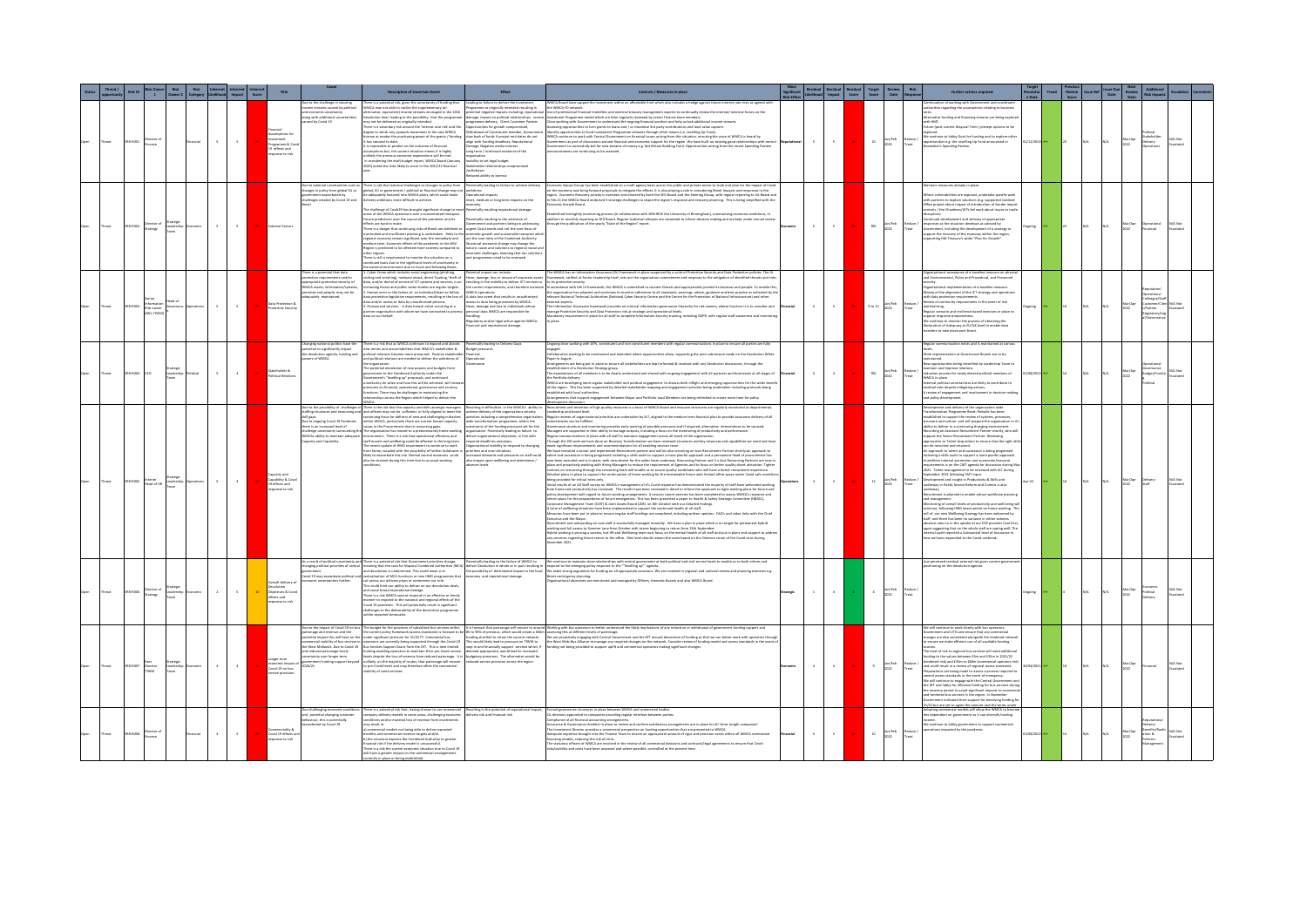|              |           |                       |                                             |                   | Inherent Inherent Inherent<br>Likelihood Impact Score |              |                                                                           |                                                                                                                                                                                               | Description of Uncertain Event                                                                                                                                                                                                                                                                                                                                                                                                                                                                                                                                                                                                                                                                                                                                                                                                                                                                                                                                                                                                                                                                                                                                                                                                                                                                                                                                  | <b>Effect</b>                                                                                                                                                                                                                                                                                                                                                                                                                                                                                                                                                                                                                                                     | Controls / Measures in place                                                                                                                                                                                                                                                                                                                                                                                                                                                                                                                                                                                                                                                                                                                                                                                                                                                                                                                                                                                                                                                                                                                                                                                                                                                                                                                                                                                                                                                                                                                                                                                                                                                                                                                                                                                                                                                                                                                                                                                                                                                                                                                                                                                                                                                                        |               | sidual Residual Residual<br>Ilihood Impact Score | <b>Target</b><br>Score                                 |                   | <b>Further actions required</b>                                                                                                                                                                                                                                                                                                                                                                                                                                                                                                                                                                                                                                                                                                                                                                                                                                                                                                                                                                                                                                                                                                                                                                                                                                                                                                                                                                                                                                                                                                                                                                                                    |               |        |     |                 |                                                 |         |
|--------------|-----------|-----------------------|---------------------------------------------|-------------------|-------------------------------------------------------|--------------|---------------------------------------------------------------------------|-----------------------------------------------------------------------------------------------------------------------------------------------------------------------------------------------|-----------------------------------------------------------------------------------------------------------------------------------------------------------------------------------------------------------------------------------------------------------------------------------------------------------------------------------------------------------------------------------------------------------------------------------------------------------------------------------------------------------------------------------------------------------------------------------------------------------------------------------------------------------------------------------------------------------------------------------------------------------------------------------------------------------------------------------------------------------------------------------------------------------------------------------------------------------------------------------------------------------------------------------------------------------------------------------------------------------------------------------------------------------------------------------------------------------------------------------------------------------------------------------------------------------------------------------------------------------------|-------------------------------------------------------------------------------------------------------------------------------------------------------------------------------------------------------------------------------------------------------------------------------------------------------------------------------------------------------------------------------------------------------------------------------------------------------------------------------------------------------------------------------------------------------------------------------------------------------------------------------------------------------------------|-----------------------------------------------------------------------------------------------------------------------------------------------------------------------------------------------------------------------------------------------------------------------------------------------------------------------------------------------------------------------------------------------------------------------------------------------------------------------------------------------------------------------------------------------------------------------------------------------------------------------------------------------------------------------------------------------------------------------------------------------------------------------------------------------------------------------------------------------------------------------------------------------------------------------------------------------------------------------------------------------------------------------------------------------------------------------------------------------------------------------------------------------------------------------------------------------------------------------------------------------------------------------------------------------------------------------------------------------------------------------------------------------------------------------------------------------------------------------------------------------------------------------------------------------------------------------------------------------------------------------------------------------------------------------------------------------------------------------------------------------------------------------------------------------------------------------------------------------------------------------------------------------------------------------------------------------------------------------------------------------------------------------------------------------------------------------------------------------------------------------------------------------------------------------------------------------------------------------------------------------------------------------------------------------------|---------------|--------------------------------------------------|--------------------------------------------------------|-------------------|------------------------------------------------------------------------------------------------------------------------------------------------------------------------------------------------------------------------------------------------------------------------------------------------------------------------------------------------------------------------------------------------------------------------------------------------------------------------------------------------------------------------------------------------------------------------------------------------------------------------------------------------------------------------------------------------------------------------------------------------------------------------------------------------------------------------------------------------------------------------------------------------------------------------------------------------------------------------------------------------------------------------------------------------------------------------------------------------------------------------------------------------------------------------------------------------------------------------------------------------------------------------------------------------------------------------------------------------------------------------------------------------------------------------------------------------------------------------------------------------------------------------------------------------------------------------------------------------------------------------------------|---------------|--------|-----|-----------------|-------------------------------------------------|---------|
| treat        | 1008-003  | rector of<br>sance    |                                             | Inancial          | $\sim$<br>$\sim$                                      |              | rogramme & C<br>9 effects and<br>nose to risk                             | Due to the challenge in securing<br>ne streams caused by politics<br>economic uncertainty<br>along with additional uncertaint<br>ed by Covid 19                                               | There is a potential risk, given the uncertainty of funding that<br>AMCA may not able to realise the supplementary (or<br>sative, equivalent) income streams envisaged in the 2016<br>volution deal, leading to the possibility that the programme<br>may not be delivered as originally intended.<br>There is a secondary risk around the 'interest rate risk' and the<br>degree to which any upwards move<br>ment in the rate WMCA<br>borrow at erodes the purchasing power of the grants / funding<br>it has secured to date.<br>It is impossible to predict on the outcome of financial<br>ssumptions but, the current situation means it is highly<br>unlikely the previous economic expectations will be met<br>n comidering the draft budget report. WMCA Board Usnuary<br>2020) noted the risks likely to occur in the 2021/22 financia                                                                                                                                                                                                                                                                                                                                                                                                                                                                                                                 | Leading to failure to deliver the Investment<br>ogramme as originally intended resulting in<br>ential negative impacts including: reputal<br>damage, impact on political relationships, servi-<br>programme delivery, Client Customer Partner<br>Opportunities for growth compromised,<br>Withdrawal of Constituent member, Governm<br>daw back of funds if project end dates do not<br>align with funding deadlines, Reputational<br>Damage, Negative media interest<br>Long term / continued existence of the<br>ability to set legal budget<br>takeholder relationships compromises<br>withdrawn<br>educed ability to borrow                                   | tment within an affordable limit which also includes a hedge against future interest rate rises as agreed w<br><b>VMCA Board have capped the invest</b><br>the WMCA FD network.<br>he of professional financial modellers and external treasury management experts to continually review the internal/ external forces on the<br>stment Programme model which are then regularly reviewed by senior Finance team members.<br>i monument regission totos and the registrary research system random and the control of the control of the control of the control of the control of the control of the control of the control of the control of the control of<br>nouncements are continuing to be assessed.                                                                                                                                                                                                                                                                                                                                                                                                                                                                                                                                                                                                                                                                                                                                                                                                                                                                                                                                                                                                                                                                                                                                                                                                                                                                                                                                                                                                                                                                                                                                                                                           |               | $5 -$<br>$\sim$                                  | Jan/Feb<br>2022<br>$20 -$                              |                   | stion of working with Government and const<br>ities regarding the assumptions relating to busines:<br>sative funding and financing streams are being explor<br><b>NIME</b><br>(next current Mayoral Term ) nearest netions to be<br>.<br>Ve continue to lobby Govt for funding and to explore other<br>pportunities e.g. the Levelling Up Fund announced in .<br>lovember's Spending Review.                                                                                                                                                                                                                                                                                                                                                                                                                                                                                                                                                                                                                                                                                                                                                                                                                                                                                                                                                                                                                                                                                                                                                                                                                                       | 1/12/2024     | 25.    | N/A | Mar/Apr<br>2022 | akeholde<br>elivery                             | N/A Not |
|              | 00.0002   | rector of<br>rategy   |                                             |                   | $\sim$<br>$\sim$                                      |              | <b>Harnal Earton</b>                                                      | Due to external uncertainties such<br>changes in policy from alobal EU or<br>hallenges created by Covid 19 and                                                                                | There is risk that external challenges or changes in policy from<br>slobal. EU or sovernment / political or financial change may not<br>be adequately factored into WMCA plans, which could make<br>delivery ambitions more difficult to achieve.<br>The challenge of Covid19 has brought significant change to most Potentially resulting reputational damage.<br>areas of the WMCA operations over a concentrated timespan.<br>Future predictions over the course of the pandemic and its<br>$\begin{minipage}{0.9\textwidth} \begin{tabular}{p{0.85\textwidth}} \textbf{F41} & \textbf{D1} & \textbf{D2} & \textbf{D3} & \textbf{D4} & \textbf{D5} & \textbf{D6} & \textbf{D7} & \textbf{D8} & \textbf{D8} & \textbf{D9} & \textbf{D8} & \textbf{D9} & \textbf{D9} & \textbf{D9} & \textbf{D9} & \textbf{D9} & \textbf{D9} & \textbf{D9} & \textbf{D9} & \textbf{D9} & \textbf{D9} & \textbf{D9} & \textbf{D$<br>Region is predicted to be affected more severely compared to<br>other regions.<br>There is still a requirement to monitor the situation on a<br>nued basis due to the similicant levels of uncertainty in                                                                                                                                                                                                                                   | Potentially leading to failure to achieve delive<br>hort, medium or long term impacts on the<br>economy.<br>Potentially resulting in the attention of<br>nature, cause and solutions to regional social and<br>conomic challenges, meaning that our solution<br>and programmes need to be reviewed                                                                                                                                                                                                                                                                                                                                                                | Economic Impact Group has been established on a multi agency basis across the public and private sector to track and plan for the impact of Coy<br>on the economy and bring forward proposals to mitigate the effects. It is also playing a role in considering Brexit impacts and responses in the<br>region. Economic Recovery activity is overseen and directed by both the SED Board and the Steering Group, with regular reporting to CA Board an<br>In Feb 21 the WMCA Board endorsed 5 strategic challenges to shape the region's<br>mic Growth Board.<br>.<br>Nabed fortnightly monitoring process (in collaboration with WM-REDI the University of Birmingham), summarising economic conditions, in<br>dition to monthly reporting to SED Board. Regular statistical releases are circulated to inform decision making and are kept under annual review<br>through the publication of the yearly "State of the Region" report.                                                                                                                                                                                                                                                                                                                                                                                                                                                                                                                                                                                                                                                                                                                                                                                                                                                                                                                                                                                                                                                                                                                                                                                                                                                                                                                                                             |               | $5 -$<br>$\sim$                                  | lan/Feb<br>2022<br>TBC                                 | Reduce /<br>Treat | tain measures already in place<br>strols / the Chambers/LEPs led work about issues to trac<br>ruption).<br>Inued development and delivery of appropriate<br>exponses as the situation develops as advised by<br>Sovererment, including the development of a strategy to<br>Sovererment, including the development of a strategy to<br>upporting MM Treasury's wider "Plan for Growth"<br>upporting MM                                                                                                                                                                                                                                                                                                                                                                                                                                                                                                                                                                                                                                                                                                                                                                                                                                                                                                                                                                                                                                                                                                                                                                                                                              | going         | 25.    |     | Mar/Apr<br>2022 | erational<br>Iancial                            | N/A Not |
|              | 03-R003   | k owner<br>D, TřWh    | ant ref                                     |                   | $-5$<br>$\sim$                                        |              | <b>Data Protection</b>                                                    | here is a potential that date<br>protection requirements and/or<br>appropriate protective security of<br>WMCA assets: information/syst-<br>ises and people, may not be<br>juately maintained. | he external environment due to Covid and followine Brexit<br>. Cyber Crime which indudes social engineering (phishing,<br>vishing and smishing), malware attack, direct 'hacking,' theft of Plarm, damage, loss or misuse of corporate asse<br>data, and/or denial of service of ICT systems and services, is an<br>reasing threat and public sector bodies are regular targets.<br>.<br>Numan error or the failure of an individual/team to follow<br>data protection legislative requirements, resulting in the loss of<br>data and/or access to data by unauthorised persons.<br>$\label{thm:main} \begin{minipage}[t]{0.9\textwidth} \textit{data and for access to data by unsubstituting on time, and $1$ of data to be used, the number of data is unsubstituting from time, and the number of data is the process of by WMCs. \end{minipage} \begin{minipage}[t]{0.9\textwidth} \textit{inning and first may need to use the data by the data is the same as follows: } \begin{cases} \textit{inning and first may be used to use the data is the same as the data is the same as the data is the same as the data is the same as the data is the same as the data is the same as the data is the same as the data is the same as the data is the same as the data is the same as the data is the same as the data is the same as the data is the same$ | dtential impact can include:<br>resulting in the inability to deliver ICT services to to its protective security.<br>the current requirements, and therefore maintain in accordance with the IA<br>WMCA operations.<br>A data loss event that results in unauthorised<br>Regulatory and/or legal action against WMCA.<br>nancial and reputational damag                                                                                                                                                                                                                                                                                                           | The WMCA has an Information Assurance (IA) Framework in place supported by a suite of Protective Security and Data Protection policies. The IA<br>Framework, ratified at Senior Leadership level, sets out the organisation commitment and response to the mitigation of identified threats and ris<br>In accordance with the IA framework, the WMCA is committed to counter threats and appropriately protect its business and people. To enable thi<br>responsation has adopted and continues to monitor adherence to all standards, warnings, advice, guidance and best practice as indicated by t<br>evant National Technical Authorities (National Cyber Security Centre and the Cent<br>The information Assurance framework provides an internal information governance hierarchy for risk owners, whose function it is to consider and<br>masege Protective Security and Data Protection risk at transporant control mee<br>dace.                                                                                                                                                                                                                                                                                                                                                                                                                                                                                                                                                                                                                                                                                                                                                                                                                                                                                                                                                                                                                                                                                                                                                                                                                                                                                                                                                            |               | $\sim 4$<br>$\mathbf{A}$                         | lan/Feb<br>2022<br>9 to 12                             | Treat             | nisational acceptance of a baseline measure on physic<br>d Environmental, Policy and Procedural, and Personnel<br>arity.<br>nisational implementation of a baseline measure.<br>ew of the alignment of the ICT strategy and operations<br>data protection requirements<br>www.requirements.<br>nuity requirements in the event of risk<br>sniklising.<br>egular scenario and resilience-based exercises in place to<br>.<br>pport response preparedness.<br>Ve continue to monitor the process of obtaining the<br>instign of Adequacy at EU/UK level to enable data<br>viers to take place post Brexit.                                                                                                                                                                                                                                                                                                                                                                                                                                                                                                                                                                                                                                                                                                                                                                                                                                                                                                                                                                                                                           | going         | 26.    | N/A | 2022            | rations<br>anar/Sa<br>tomer/Clien<br>gulatory/L |         |
|              | 1001-03   |                       |                                             | <b>Ingiltical</b> | $\sim 4$<br>$\sim$                                    |              | Stakeholder &<br>Political Relatio                                        | Changing national politics have the<br>sobertial to significantly impact<br>he devolution agenda, funding and<br>sowers of WMCA                                                               | There is a risk that as WMCA continues to expand and absorb Potentially leading to Delivery Gap<br>new remits and accountabilities that WMCA's stateholder &<br>political relations become more pressured. Positive stateholder<br>and political relations are needed to deliver the ambitions of<br>the organisation.<br>The potential devolution of new powers and budgets from<br>government to the Combined Authority under the<br>Government's 'Tevelling up' proposals, and continued<br>entainty on when and how this will be achieved will in<br>sures on financial, operational, governance and scruti<br>clions. There may be challenges in maintaining the<br>onships across the Region which helped to deliver the<br><b>WMCA</b>                                                                                                                                                                                                                                                                                                                                                                                                                                                                                                                                                                                                                   | <b>Budget pressures</b><br>vernance                                                                                                                                                                                                                                                                                                                                                                                                                                                                                                                                                                                                                               | Ongoing dose working with LEPs, constituent and non-constituent members with regular communications in place to ensure all parties are fully<br>engaged.<br>Collaborative working to be maintained and extended where opportunities allow, supporting the joint submission made on the Devolution Whit<br>Paper in August.<br>Arrangements are being put in place to ensure all stakeholders are kept informed & involved with any Devolution discussions, through the<br>establishment of a Devolution Strategy group.<br>The expectations of all members is to be clearly understood and shared with ongoing engagement with all partners and businesses at all stages of<br>the Portfolio delivery<br>angements that support engagement between Mayor and Portfolio Lead Members are being refreshed to create more time for policy                                                                                                                                                                                                                                                                                                                                                                                                                                                                                                                                                                                                                                                                                                                                                                                                                                                                                                                                                                                                                                                                                                                                                                                                                                                                                                                                                                                                                                                              | <b>Includ</b> | $-4$<br>$\sim$                                   | lan/Feb<br>2022<br>TBC                                 | Reduce /<br>Treat | dar communication exists and is maintained at variou<br>representation at Governance Boards are to be<br>sined<br>New opportunities being identified by Leadership Team to<br>aintain and improve relations.<br>duction process for newly elected political members of<br>MMCA in place.<br>now in praise.<br>Ireal political uncertainties are likely to contribute to<br>dual risks despite mitigating actions.<br>Iview of engagement and involvement in decision-makin<br>d policy development                                                                                                                                                                                                                                                                                                                                                                                                                                                                                                                                                                                                                                                                                                                                                                                                                                                                                                                                                                                                                                                                                                                                 | 108/2022      | $26 -$ | M/A |                 | vernance<br>udeet/Fune                          | N/A Not |
| <b>Steat</b> |           |                       | SRR-ROOS Friend of HR Leadership Operations |                   | $\sim$<br>$-5$                                        |              | Capability & Covie<br>19 effects and                                      | ue to the gossibility of challenge<br>apacity and Capability.                                                                                                                                 | There is the risk that the capacity and skills amongst managers<br>staff morale and wellbeing could be affected in the long term.<br>The recent update of HMG requirement to continue to work<br>rom home, coupled with the possibility of further lockdowns<br>likely to exacerbate this risk. Normal control measures could<br>also be strained during this time due to unusual working                                                                                                                                                                                                                                                                                                                                                                                                                                                                                                                                                                                                                                                                                                                                                                                                                                                                                                                                                                       | Resulting in difficulties in the WMCA's ability<br>achieve delivery of the organisations priority<br>activities including a comprehensive organisa<br>nstraints of the funding pressures set for the<br>organisation. Potentially leading to failure to<br>deliver organisational objectives in line with<br>required deadlines and plans.<br>Intentiational inability to respond to changin<br>cities and new initiative<br><b>Processed demands and pressures on staff contains and pressures on staff contains and actional state of the state of the state of the state of the state of the state of the state of the state of the state of the state of </b> | soment discussion.<br>Ioanent discussion.<br>ultreent and retention of high quality resources is a focus of WMCA Board and resource structures are regularly monitored at department<br>Israelanship and housed layed<br><br>ational oriorities are undertaken by SLT, alianed to the medium term financial olan to provide assurance delivery of all<br>anetwork of organisation<br>agalar reviews of organisation<br>commitments can be fulfilled.<br>Governance stocture animos<br>Managers are supported in their ability to manage outputs, including a focus on the monitoring of productivity to the<br>Managers are supported in their ability to manage outputs, including a focus<br>.<br>rough the OD work we have done on Business Transformation we have reviewed structures and lev resources and capabilities we need and hav<br>nade significant improvements and recommendations for all enabling services team<br>White improvements are constructed in the main of the construction of the state of the state of the state of the state of the state of the state of the state of the state of processes to a state of processes that the state<br>controls on resourcing through the resourcing team will enable us to source quality candidates who will have a better recruitment experience.<br>Detailed plans in place to support the continuation of home working for the foreseeable future with limited office space under Covid safe condi<br>being provided for critical roles only.<br>lanty provide for critical rate only.<br>This home and productively has too management of it's Covid response has demonstrated the majority of staff how<br>Fitter mean and productively has too material. The maintainers are conse<br>A suite of wellbeing initiatives have been implemented to support the continued health of all staff.<br>sures have been put in place to ensure regular staff briefings are completed, including written updates , FAQ's and video links with the Chief<br>working and the Maun<br>Bitchware for Miniger .<br>Wedness and Millensen to Summer Law from October with learn terms of the me a photo in these whole is construct<br>wedning and fall access to Summer Law from October with learns beginning to relaxe fro<br>ecember 2021 |               | $\sim$                                           | lan/Feb<br>2022<br>12                                  | Reduce /<br>Treat | opment and delivery of the organisation wide<br>construction Programme Reset: Rebuild has been<br>tablished to support the review of systems, process<br>ructure and culture: and will prepare the organisatic<br>ructure and culture: and will prepare the organisatic<br>ability to deliver in a continuing changing environment.<br>Recruiting an Assistant Recruitment Partner shortly, who wil<br>support the Senior Recruitment Partner. Reviewing<br>proaches to Talent Acquisition to ensure that the right sk<br>an be recruited and retained.<br>approach to talent and succession is being progressed<br>.<br>Ing a skils audit to support a more planful approach<br>ition internal promotion and succession/resource<br>ements is on the CMT agenda for discussion during Mi<br>2021. Talent management to be reviewed with SLT during<br>eptember 2021 following CMT input.<br>welcoment and insight in Productivity & Skills and<br>inderway in Public Service Reform and Comms is also<br>erway.<br>uitment is planned to enable robust workforce plan<br>and management.<br>lonitoring of overall levels of productivity and well being w<br>ntinue, following HMG latest advice on home working. Th<br>oll of our new Wellbeing Strategy has been welcomed by<br>itaff, and there has been no variance in either sickness.<br>sart, ans treew mas been no variance in either successes<br>buence rates to in the uptake of our EAP provider Care First<br>gain suggesting that on the whole staff are coping well. The<br>ternal audit reported a Substantial level o<br>we have responded to the Covid outbreak | Apr-22        | 26.    | N/A | Mar/Apr<br>2022 | Delivery<br>Staff                               | N/A Not |
|              | $m$ -noos | trector of<br>trategy | Strategic<br>Leadership                     |                   | $\sim$<br>$\overline{2}$                              | $10^{\circ}$ | erall Del<br>Devolution<br>Objectives & Cov<br>ffects and<br>some to risk | As a result of political uncerta<br>changing political priorities of<br>twid 19 may exacerbate political                                                                                      | cut across our delivery plans or undermine our role.<br>This could limit our ability to deliver on our devolution deals,<br>on course into our assety to conver on our overcounts ones,<br>and cause broad regardstoral damage.<br>There is a risk WMCA cannot respond in an effective or timely<br>manner to respond to the national and regional effects of the<br>C<br>in expected timescales                                                                                                                                                                                                                                                                                                                                                                                                                                                                                                                                                                                                                                                                                                                                                                                                                                                                                                                                                                |                                                                                                                                                                                                                                                                                                                                                                                                                                                                                                                                                                                                                                                                   | intra para and the Comment prior drug. A commit indept to the state is a growth to enter product in the commit interest into the commit interest in the commit of the commit of the commit of the committee of the committee o<br>restantional objectives are monitored and managed by Officers, thematic Boards and also WMCA Board                                                                                                                                                                                                                                                                                                                                                                                                                                                                                                                                                                                                                                                                                                                                                                                                                                                                                                                                                                                                                                                                                                                                                                                                                                                                                                                                                                                                                                                                                                                                                                                                                                                                                                                                                                                                                                                                                                                                                                |               | $\sim$<br>$\sim$                                 | $4 \qquad \qquad \frac{\lambda a \pi / l^2 e b}{2022}$ |                   | e perceived residual external risk given current govern<br>itioning on the devolution agenda.                                                                                                                                                                                                                                                                                                                                                                                                                                                                                                                                                                                                                                                                                                                                                                                                                                                                                                                                                                                                                                                                                                                                                                                                                                                                                                                                                                                                                                                                                                                                      | <b>Subard</b> |        |     |                 | conomic<br>plitical                             |         |
|              | 1001-03   | Director<br>Triveta   |                                             |                   | $\sim 4$<br>$\sim$                                    |              | inger term<br>economic impact<br>Covid-19 on bus                          | Due to the impact of Covid-19 on b<br>and reduced gatronage levels:<br>ertainty over longer term                                                                                              | ntial impact this will have on the under significant pressure for 21/22 FY. Commercial bus<br>mercial viability of bus services in operators are currently being supported through the Covid-19<br>the West Midlands. Due to Covid-29   Bus Services Support Grant from the DFT. This is time limited<br>funding enabling operators to maintain their pre-Covid service deemed appropriate, would lead to increased<br>levels despite the loss of revenue from reduced patronage. It is budgetary pressures. The alternative would be<br>unlikely, on the malority of routes, that patronage will recover reduced service provision across the region.<br>symmetry, on the majority of routes, that patronage will recover<br>to pre-Covid levels and may therefore affect the commercial<br>viability of some services.                                                                                                                                                                                                                                                                                                                                                                                                                                                                                                                                        | funding shortfall to retain the current network.<br>This would likely lead to pressure on TIWM to                                                                                                                                                                                                                                                                                                                                                                                                                                                                                                                                                                 | The budget for the provision of subsidiated bus services with in It is forecast that patronage will recover to around. Working with bus operators to better understand for licky implications of any reduction or withdr<br>We are proachively engaging with Central Government and the DfT around devolution of funding so that we can better work with operators through<br>the West Mids Bus Alliance to manage any required changes on the network. Consi<br>step in and financially support services which, if funding not being provided to support uplift and commercial operators making significant changes.                                                                                                                                                                                                                                                                                                                                                                                                                                                                                                                                                                                                                                                                                                                                                                                                                                                                                                                                                                                                                                                                                                                                                                                                                                                                                                                                                                                                                                                                                                                                                                                                                                                                               |               | $\sim$<br>$\Delta$                               | $tan/Feb$<br>2022<br>$\overline{9}$                    |                   | .<br>Ve will continue to work closely with bus operators,<br>lovernment and UTG and ensure that any commerci<br>anges are also considered alongside the tendered networ<br>ensure we make efficient use of all available funding<br>e level of risk to restonal bus services will need addition<br>.<br>Ing to the values between £5m and £35m in 2021/22<br>dered risk) and £35m to £60m (commercial operator ri<br>tendered risk) and £35m to £60m (commercial operator r<br>nd could result in a review of regional access standards.<br>sparations are being made to assess a process required to<br>send access standards in the event of emergency.<br>We will continue to engage with the Central Government an<br>the DfT and lobby for effective funding for bus services durin<br>recovery period to avoid significant impacts to com<br>endered bus services in the region. In November<br>mment indicated their support for devolving funding f<br>/22 but are yet to agree the amount and the terms unde                                                                                                                                                                                                                                                                                                                                                                                                                                                                                                                                                                                                              | 1/04/2021 64  | 36.    |     |                 |                                                 |         |
|              | 80.003    | ictor af<br>ance      |                                             |                   | $\sim$<br>$\sim$                                      |              | ovid 19 effect<br>some to risk                                            | Due challenging economic con<br>and potential changing custom<br><b>Moore</b> With In mode<br>rbated by Covid 19.                                                                             | There is a potential risk that, having chosen to use commercial<br>ompany delivery models in some areas, challenging econom<br>itions and/or material loss of revenue from in-<br>ney result in<br><br>ercial models not being able to deliver expected<br>a) commercial models not deling alon to deliver expected<br>benefits and commercial revenue targets and/or<br>b) the structure exposes the Combined Authority to greater<br>financial risk if the delivery model is unsuccessful.<br>There is a risk the current economic situation due to Covid 19<br>will have a greater impact on the commercial arrangements                                                                                                                                                                                                                                                                                                                                                                                                                                                                                                                                                                                                                                                                                                                                     | Resulting in the potential of reputational impact<br>very risk and financial risk                                                                                                                                                                                                                                                                                                                                                                                                                                                                                                                                                                                 | Formal governance structures in place between WMCA and commercial bodies<br>A directors appointed to companies providing regular interface between parties.<br>replace of all francial accounting energeneries.<br>Linens at Governance cheddist in place to review and conformatiolationy arrangements are in place for all "Arms Length companies"<br>Linens the Governance cheddist in place to<br>nandng models, reducing the risk of error.<br>he statutory officers of WMCA are involved in the review of all commercial decisions and contracts/legal agreements to ensure that Covid<br>is/viability and costs have been assessed and where possible, controlled at the present time.                                                                                                                                                                                                                                                                                                                                                                                                                                                                                                                                                                                                                                                                                                                                                                                                                                                                                                                                                                                                                                                                                                                                                                                                                                                                                                                                                                                                                                                                                                                                                                                                       |               | $\sim$<br>$\,$ $\,$                              | lan/Feb<br>2022<br>10 <sub>10</sub>                    |                   | opting commercial models will allow the WMCA to beco<br>s dependent on government as it can diversify funding<br>metinus to labby anyon<br>ment to support com<br>ons impacted by the pand                                                                                                                                                                                                                                                                                                                                                                                                                                                                                                                                                                                                                                                                                                                                                                                                                                                                                                                                                                                                                                                                                                                                                                                                                                                                                                                                                                                                                                         | 1/08/2022     |        |     | Mar//<br>2022   | $\Delta$ notti<br>erform.                       |         |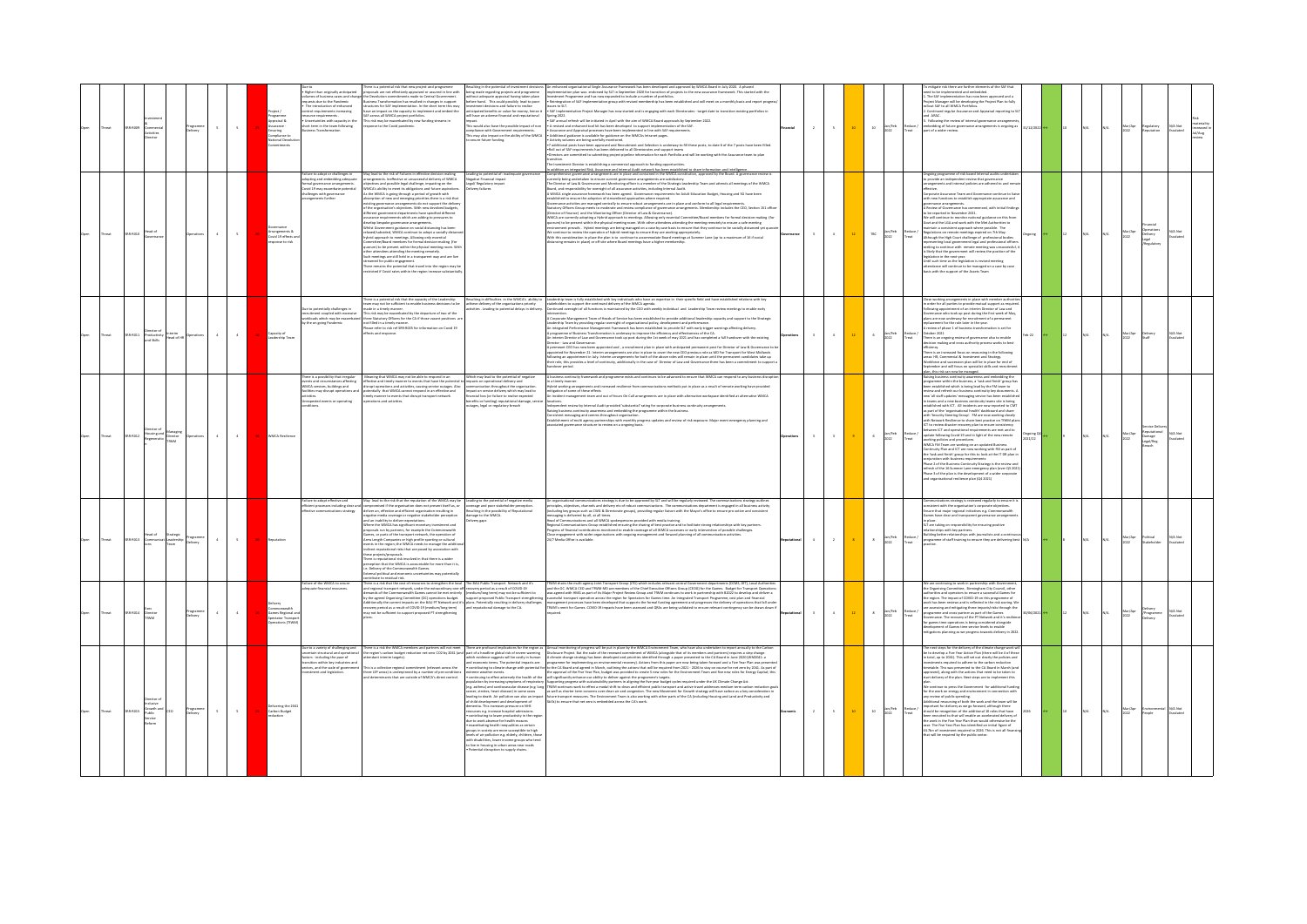|       | 88-8009           | tivities<br>rector                        | elvery                          | $5 -$<br>$\sim$  | Programme<br>Appraisal &<br>. .<br>Assurance -<br>Compliance ti | ue to<br>Higher than originally anticipated<br>nes of business cases and char<br>pests due to the Pandemic<br>The introduction of enhances<br>ontrol requirements increasing<br>ource requirements<br>Uncertainties with capacity in th<br>rt term in the team following | ere is a potential risk that new project and programme<br>oposals are not effectively appraised or assured in line with<br>lution commitments made to Central Government.<br>ess Transformation has resulted in changes in support<br>tures for SAF implementation. In the short term this may<br>we an impact on the capacity to implement and embed the<br>across all WMCA project portfolios<br>s risk may be exacerbated by new funding streams in<br>me to the Covid pandemic                                                                                                                                                                                                                                                                                                                                                                                                                                                                                                                                                                                       | Resulting in the potential of investment decision<br>being made regarding projects and programme<br>rithout adequate appraisal having taken place<br>efore hand.   This could possibly  lead to poor<br>estment decisions and failure to realise<br>nticipated benefits or value for money, hence<br>will have an adverse financial and reputational<br>his would also have the possible impact of no<br>rollance with Gov-<br>his may also impact on the ability of the WMC<br>secure future funding.                                                                                       | An enhanced organisational Single Assurance Framework has been developed and approved by WMCA Board in July 2020. A phases<br>Implementation plan was endorsed by SLT in September 2020 for transition of projects to the new ass<br>work. This started with the<br>vestment Programme and has now expanded to indude a number of portfolios.<br>Neitegration of SAF Implementation group with revised membenhip has been established and will meet on a monthly basis and report progre<br>was to SLT.<br>SAF Implementation Project Manager has now started and is engaging with each Directorates - target date to transition existing portfolios in<br><b>Spring 2022</b><br>SAF annual refresh will be initiated in April with the aim of WMCA Board approvals by September 2022.<br>Saf away al entoni la sui la statistic de port units au mort WKK Roard approxima hyposolog. 2022.<br>Anazones and agental process that have a line and with Konstantyneyes.<br>Anazones and agental process that have a line WKK bet<br>Investment Director is establishing a commercial approach to funding opportunities                                                                                               | $\overline{z}$           | $5 -$        |              | lan/Feb<br>2022<br>$10$           | nitigate risk there are further elements of the SAF that<br>d to be implemented and embedded.<br>L. The SAF implementation has now been approved and a<br>Project Manager will be developing the Project Plan to fully<br>reliout SAF to all WIMCA Portfolios.<br>Continued regular Assurance and Appraisal reporting to 5<br>d ARAC<br>Following the review of internal governance arrangemen<br>embedding of future governance arrangements is ongoing as<br>part of a wider review.                                                                                                                                                                                                                                                                                                                                                                                                                                                                                                                                                                                                                                                                                                                                                                                                            | 1/12/2022 | $20 -$          |     | N/A | Mar/Apr<br>2022 | legulatory<br>leputation                     | ateriality<br>screased in<br>Jul/Aug<br>N/A Not<br>Escalated |
|-------|-------------------|-------------------------------------------|---------------------------------|------------------|-----------------------------------------------------------------|--------------------------------------------------------------------------------------------------------------------------------------------------------------------------------------------------------------------------------------------------------------------------|--------------------------------------------------------------------------------------------------------------------------------------------------------------------------------------------------------------------------------------------------------------------------------------------------------------------------------------------------------------------------------------------------------------------------------------------------------------------------------------------------------------------------------------------------------------------------------------------------------------------------------------------------------------------------------------------------------------------------------------------------------------------------------------------------------------------------------------------------------------------------------------------------------------------------------------------------------------------------------------------------------------------------------------------------------------------------|----------------------------------------------------------------------------------------------------------------------------------------------------------------------------------------------------------------------------------------------------------------------------------------------------------------------------------------------------------------------------------------------------------------------------------------------------------------------------------------------------------------------------------------------------------------------------------------------|--------------------------------------------------------------------------------------------------------------------------------------------------------------------------------------------------------------------------------------------------------------------------------------------------------------------------------------------------------------------------------------------------------------------------------------------------------------------------------------------------------------------------------------------------------------------------------------------------------------------------------------------------------------------------------------------------------------------------------------------------------------------------------------------------------------------------------------------------------------------------------------------------------------------------------------------------------------------------------------------------------------------------------------------------------------------------------------------------------------------------------------------------------------------------------------------------------------------|--------------------------|--------------|--------------|-----------------------------------|---------------------------------------------------------------------------------------------------------------------------------------------------------------------------------------------------------------------------------------------------------------------------------------------------------------------------------------------------------------------------------------------------------------------------------------------------------------------------------------------------------------------------------------------------------------------------------------------------------------------------------------------------------------------------------------------------------------------------------------------------------------------------------------------------------------------------------------------------------------------------------------------------------------------------------------------------------------------------------------------------------------------------------------------------------------------------------------------------------------------------------------------------------------------------------------------------------------------------------------------------------------------------------------------------|-----------|-----------------|-----|-----|-----------------|----------------------------------------------|--------------------------------------------------------------|
| breat | 0008-003          | Head of                                   |                                 | $\sim$<br>$\sim$ | Arrangements &<br>Covid 19 effects<br>cose to risk              | allure to adopt or challenges is<br>dopting and embedding adequa<br>smal governance arrangements<br>ovid 19 may exacerbate potenti<br>sallenges with governance<br>rangements further                                                                                    | y lead to the risk of Failures in effective decision making<br>,<br>rangements. Ineffective or unsuccessful delivery of WMCA<br>jectives and possible legal challenge, impacting on the<br>MCA's ability to meet its obligations and future aspirations.<br>ierent government departments have specified different<br>urance requirements which are adding to pressures to<br>develop bespoke governance arrangements<br>Whilst Government guidance on social distancing has been<br>axed/subsided, WMCA continue to adopt a socially distant<br>hybrid approach to meetings. Allowing only essential<br>ttee/Board members for formal decision-making (for<br>rum) to be present within the physical meeting room. Wit<br>exercy to be present women one preparate meeting noon.<br>In meetings are still held in a transparent way and are live<br>In meetings are still held in a transparent way and are live<br>imed for public engagement.<br>w remains the potential that travel into the region may be<br>ricted if Covid rates within the region increase subst | Leading to potential of: inadequate go<br>rative Financial impact<br>gal/ Regulatory impact<br>(Ivery failures                                                                                                                                                                                                                                                                                                                                                                                                                                                                               | addition an interrated Bisk. Assurance and internal Audit network has been established to share information and intellieence .<br>mprehensive governance arrangements are in place and contained in the WMCA constitution, approv<br>Computerion generates arresponds are plans and catalogue in the wave, computers, approved by the state Appendi<br>The Orient of Law & Constraint principle all an another state and the state of the state of a state American ch<br>(Director of Fisance) and the Montoning Officer (Director of Law & Governance).<br>WIMCA are currently adopting a Hybrid approach to meetings. Allowing current and committee/Board members for formal decision-maki<br>quorum) to b<br>ion-making (fo<br>vironment prevails. Hybrid meetings are being managed on a case by case basis to ensure that they continue to be socially distanced yet qu<br>We continue to review the operation of hybrid meetings to ensure they are working appropriately.<br>With this consideration in place the plan is to continue to accommodate Board meetings at Summer Lane (up to a maximum of 16 if social<br>incing remains in place) or off site where Board meetings have a higher membership | $\overline{\phantom{a}}$ | $\sim$       |              | Jan/Feb<br>2022<br>TBC            | ngoing programme of risk based Internal audits undertal<br>vide an independent review that eove<br>nts and internal policies are adhered to and ren<br>reporate Assurance Team and Governance continue to liais<br>th new functions to establish appropriate assurance and<br>vernance arrangements.<br>Review of Governance has commenced, with initial finding<br>be reported in November 2021.<br>le will continue to monitor national guidance on this from<br>ort and the LGA and work with the Met Authorities to<br>taintain a consistent approach where possible. The<br>Regulations on remote meetings expired on 7th May.<br>Ongoing<br>Although the High Court challenge of professional bodies<br>.<br>Insenting local government legal and professional officer<br>eking to continue with remote meeting was unsuccessful,<br>sment will review the position of the<br>likely that the egy<br>were the maximum. We consider the position of the<br>lation in the next year.<br>I such time as the legislation is revised meeting<br>ndance will continue to be managed on a case by case<br>is with the support of the Assets Team                                                                                                                                                   |           | $12-1$          | N/A | N/A | Mar/Apr<br>2022 | Dperations<br>Delivery<br>Legal<br>Rendatory | N/A Not                                                      |
| hreat | 201-2011          | d Skills                                  | nterim<br>fead of HR Operations | $\sim 4$<br>$-4$ | Capacity of<br>Leadership Tear                                  | w to potentially challenges in<br>ecruitment coupled with excessiv<br>orkloads which may be exacerba<br>the on going Pandemic                                                                                                                                            | here is a potential risk that the capacity of the Leadership<br>ram may not be sufficient to enable business decisions to be<br>de in a timely manner.<br>This risk may be exacerbated by the departure of two of the<br>three Statutory Officers for the CA if those vacant positions<br>not filled in a timely manner<br>ase refer to risk ref SRR-ROOS for information on Covid 29<br>ffects and respons                                                                                                                                                                                                                                                                                                                                                                                                                                                                                                                                                                                                                                                              | Resulting in difficulties in the WMCA's ability to<br>achieve delivery of the organisations priority<br>activities . Leading to potential delays in delivery.                                                                                                                                                                                                                                                                                                                                                                                                                                | Leadership team is fully established with key individuals who have an expertise in their specific field and have established relations with key<br>stabeholden to support the continued delivery of the WMCA agends.<br>Continued ov<br>.noitnsvis<br>Corporate Management Team of Heads of Service has been established to provide additional leadership capacity and support to the Strategic<br>adenha Tem by providing regular everythy of experimentate policy, development and performance.<br>Integrated Performance Management Framework has been established to provide SLT with early trigger warnings affecting delivery.<br>An interts transite transite covernance took up pois ouring the air were of may usua and no completed a but necessary<br>A percent Caroline complete the supported and a state of the place with advertised permeaned post Christ<br>dover period                                                                                                                                                                                                                                                                                                                          | $\mathbf{z}$             | $\sim$       |              | Jan/Feb<br>2022<br>$\mathbf{G}$   | Close working arrangements in place with member authorit<br>n order for all parties to provide mutual support as require<br>Following appointment of an interim Director of Law and<br>overnance who took up post during the first week of May<br>slans are now underway for recruitment of a permanent<br>lacement for the role later in the year.<br>eview of phase 1 of business transformation is set for<br>ctober 2021<br>Reduce /<br>Treat<br>Feb-22<br>There is an ongoing review of governance also to enable<br>decision making and cross authority process works to best<br>decision making and cross authority process works to best<br>sency.<br>re is an increased focus on res<br>surcing in the following<br>ireas: HR, Commercial & Investment and Strategy.<br>Norkforce and succession plan will be in place for end of<br>leptember and will focus on specialist skills and recruitme<br>n. this risk can now be managed.                                                                                                                                                                                                                                                                                                                                                     |           | 12              |     |     | Mar/Apr<br>2022 | Delivery<br>Staff                            | N/A Not<br>Escalated                                         |
| hreat | 10.0012           | lousing and                               | Director<br>TRANA               | $\sim$<br>$\sim$ | WMCA Resilienc                                                  | here is a possibility that irrenal<br>nts and circumstances affec<br>WMCA services, buildings and<br>ses.<br>pected events or operating                                                                                                                                  | uning that WMCA may not be able to respond in an<br>tive and timely manner to events that have the potential<br>t operations and activities, causing service outages. A<br>tially that WMCA cannot respond in an effective and                                                                                                                                                                                                                                                                                                                                                                                                                                                                                                                                                                                                                                                                                                                                                                                                                                           | Which may lead to the potential of negativ<br>mpacts on operational delivery and<br>in throughout the or<br>roact on service delivery which m                                                                                                                                                                                                                                                                                                                                                                                                                                                | business continuity framework and programme exists and continues to be advanced to ensure that WMCA can respond to any business dis-<br>timely manner.<br>rid working arrangements and increased resilience from communications methods put in place as a result of remote working have provided<br>gation of some of these effects<br>dent management team and out of hours On Call arrangements are in place with alternative workspace identified at altern<br>tions.<br>pendent review by Internal Audit provided 'substantial' rating for corporate business continuity arrangements.<br>lahing bunken contructy reanrents and embedding the programme within the business.<br>Consistent messaging and comms throughout organisation prograss updates and review of risk exposure. Major even<br>suociated governance struct                                                                                                                                                                                                                                                                                                                                                                                 | $\overline{\phantom{a}}$ | $\mathbf{1}$ |              | Jan/Feb<br>2022<br>$\mathbf{6}$   | ing business continuity awareness and embedding the<br>arouramme within the business, a 'task and finish' group ha<br>en established which is being lead by the FM team to<br>riew and refresh our business continuity key documents.<br>we all staff updates' measures continuity we would have a<br>tablished and a new business continuity teams alle is being<br>tablished with ICT. All incidents are now reported to CMT<br>tablished with ICT. All incidents are now repo<br>as part of the 'organisational health' dashboard and share<br>with 'Security Steering Group'. FM are now working closely<br>with Network Resilience to share best practice on TfWM pla<br>ICT to review disaster recovery plan to ensure con:<br>etween ICT and operational requirements are met and to<br>Reduce /<br>Treat<br>update following Covid-19 and in light of the new remote<br>Ongoing Q4<br>2021/22<br>working policies and procedures<br>working geometric and procedures.<br>What a many consider the model of the state of the back and finite part of<br>the back and finitive group for this to look at the IT DR plan in<br>the back and finitive group for this to look at<br>Phase 3 of the plan is the development of a wider corporat<br>and organisational resilience plan (Q4 2021) |           |                 |     | N/A | Mar/Apr<br>2022 | Darnage<br>Legal/Reg                         | N/A Not                                                      |
| hreat | 103-0013          | tead of                                   | t Leadership Programme          | $\sim$<br>$4-$   | Reputation                                                      | .<br>Failure to adopt effective and<br>efficient processes including dear a                                                                                                                                                                                              | May lead to the risk that the reputation of the WMCA may be componed<br>as if the organization does not present theil as, or deliver an, effect<br>the and efficient organization resulting in order of the state of the<br>state depe<br>oposals run by partners, for example the Commonwealth<br>Games, or parts of the transport network, the operation of<br>Arms Length Companies or high profile sporting or cultural<br>ents in the region; the WMCA needs to manage the addit<br>drect reputational risks that are posed by association wit<br>mus proposed risk involved in that there is a wider<br>exception that the WMCA is accountable for more than it is,<br>e. Delivery of the Commonwealth Games.<br>ternal political and economic uncertainties may potentially<br>sternal pol<br>ntribute to residual risk.                                                                                                                                                                                                                                          | Leading to the potential of negative media<br>coverage and poor stakeholder perception<br>Resulting in the possibility of Reputational<br>Resulting in the possibili<br>damage to the WMCA.<br>Ivery gaps                                                                                                                                                                                                                                                                                                                                                                                    | An organisational communications strategy is due to be approved by SLT and will be regularly reviewed. The communications strategy outlines<br>priceptes, dijectives, channels and deliver etc.d rebust connections in . The comm<br>rossaging is delivered by all, at all times.<br>Head of Communications and all WACA spokespersons provided with readis training.<br>Regional Communications Group established ensuring the sharing of best practice and to facilitat<br>inships with key partners.<br>Progress of financial contributions monitored to enable coverage of all WMCA successes or early intervention of possible challenges.<br>ase engagement with wider organisations with ongoing management and forward planning of all communication activities<br>/7 Media Office is available.                                                                                                                                                                                                                                                                                                                                                                                                           | $4 -$                    | $\sim$       | $\mathbf{r}$ | Jan/Feb<br>2022<br>$\sim$         | imunications strategy is reviewed regularly to ensure it i<br>sistent with the organisation's corporate objectives.<br>are that major regional initiatives e.g. Commonwealth<br>ses have clear and transparent governance arrangement<br>T are taking on responsibility for ensuring positive<br>donships with key partners.<br>fullding better relationships with journalists and a conti-<br>duce /<br>programme of staff training to ensure they are delivering best N/A                                                                                                                                                                                                                                                                                                                                                                                                                                                                                                                                                                                                                                                                                                                                                                                                                       |           |                 |     |     | Mar/Apr<br>2022 | olitical<br>takeholde                        | N/A Not                                                      |
| hreat | SRR-R014 Director |                                           | rogramme<br>Jelivery            | $\sim$<br>$\sim$ | Commonwealth<br>Games Regional a                                | allure of the WMCA to secure<br>quate financial resources                                                                                                                                                                                                                | There is a risk that the cost of resources to strengthen the local The BAU Public Transport Network and it's<br>d regional transport retwork, under the extraordinary one-off recovery period as a result of COVID-19<br>mands of the Commonwealth Games cannot be met entirely (medium/long term) may not be sufficient to<br>by the agreed Organising Committee (OC) operations budget.<br>Additionally the current impacts on the BAU PT Network and it's<br>recovery period as a result of COVID-19 (medium/long term)<br>may not be sufficient to support proposed PT strengthening                                                                                                                                                                                                                                                                                                                                                                                                                                                                                 | support proposed Public Transport strengther<br>plans. Potentially resulting in delivery challeng<br>nd reputational damage to the CA.                                                                                                                                                                                                                                                                                                                                                                                                                                                       | TNWM chairs the multi-agency Joint Transport Group (/TG) which includes relevant central Government departments (DCMS, DFT), Local Authoritie<br>and the OC. WMCA CEO and TfWM MD are members of the Chief Executive Officers Group (CEOG) for the Games. Budget for Transport Operatio<br>was agreed with HMG as part of its Major Project Review Group and TfWM continues to work in partnership with 82022 to develop and deliver a<br>executive manners operation across the region for Spectators for Games time. An integrated Transport Programma, cost plus and final<br>management processes have been developed that supports the formal funding agreement and pr<br>ons that fall und<br>ny nan ha drawn down                                                                                                                                                                                                                                                                                                                                                                                                                                                                                           | $\mathbf{3}$             | $\sim$       | 12           | Jan/Feb<br>2022<br>$\mathbf{z}$ . | We are continuing to work in partnership with Govern<br>the Organising Committee, Birmingham City Council, other<br>horities and operators to ensure a successful Games for<br>te region. The impact of COVID-29 on this programme of<br>rock has been reviews and is reflected in the risk scoring, W<br>now mass were and cross-partner in the inpactivities through the assessing and mitigating these impactivities through the programme and cross-partner as part of the Games Governance. The recovery of the PT Network and it's<br>Reduce /<br>Treat<br>lopment of Games time service levels to enable<br>igations planning as we progress towards delivery in 202                                                                                                                                                                                                                                                                                                                                                                                                                                                                                                                                                                                                                       | 0/05/2021 |                 |     |     | Mar/Apr<br>2022 | elvery<br>/Programme<br>Delvery              | N/A Not<br>Escalated                                         |
|       | 201-0015          | Irowth and<br>'ublic<br>Service<br>Reform | Programme<br>Delivery           | $\sim$<br>$\sim$ | Delivering the 204<br>Carbon Budget                             | Due to a variety of challenging and<br>ancertain structural and ope<br>ictors - including the pace of<br>transition within key industries and<br>ectors, and the scale of governm<br>stment and legislation                                                              | is is a collective regional commitment (relevant across the<br>three LEP areas) is underpinned by a number of pre-condition<br>ninants that are outside of WMCA's direct control                                                                                                                                                                                                                                                                                                                                                                                                                                                                                                                                                                                                                                                                                                                                                                                                                                                                                         | and economic terms. The potential impacts are:<br>lementia. This increases pressure on NHS<br>nources e.g. increase hospital admissions<br>contributing to lower productivity in the regio<br>due to work absence for health reasons<br>exacerbating health inequalities as certain<br>groups in society are more susceptible to high<br>evels of air pollution e.g. elderly, children, the<br>evens or an possuom e.g. exemp, umarento, unue<br>with disabilities, lower income groups who bend<br>to live in housing in urban areas near roads<br>= Potential disruption to supply chains. | here is not the WMX members and partners will are more produced implication for the region as . Annual monitoring of progress will be put to produce the WMX transforment Trans, who have also undertain to synchrome the carb<br>nd economic terms. The potential impacts are: programme for implementing an environmental recovery). Actions from this paper are now being taken forward and a five Year Plan was presented.<br>• contributing to dimate change w<br>realizating towards when particularly in the College Constitution of the formula constitution of the final constitution of the constitution of the constitution of the constitution of the constitution of the constitution o                                                                                                                                                                                                                                                                                                                                                                                                                                                                                                               | $\mathbf{z}$ .           | $\sim$       |              | Jan/Feb<br>2022<br>$10\,$         | The next steps for the delivery of the climate change work will<br>be to develop a Five Year Action Plan (there will be 4 of these<br>n total, up to 2041). This will set out clearly the policies and<br>westments required to adhere to the carbon reduction<br>metable. This was presented to the CA Board in March (an<br>pproved), along with the actions that need to be taken to<br>art delivery of the plan. Next steps are to implement this<br>e continue to press the Government for additional fundi<br>e sometime to press and environment in connection with<br>y review of public spending.<br>Iditional resourcing of both the work and the team will be<br>Iditional resourcing of both the work and the team will be<br>important for delivery as we go forward, although there<br>should be recognition of the additional 10 roles that have<br>been recruited to that will enable an accelerated delivery of<br>the work in the Five Year Plan than would otherwise be the<br>ase. The Five Year Plan has identified an initial figure of<br>£4.7bn of investr<br>nent required to 2026. This is not all fina<br>hat will be required by the public sector                                                                                                                    |           | 10 <sub>2</sub> |     |     | Mar/Apr<br>2022 | rviranm<br>eaple                             | N/A Not                                                      |